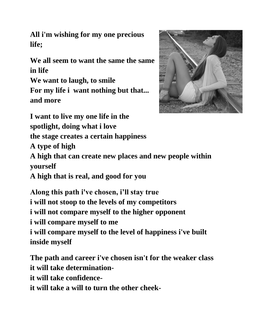**All i'm wishing for my one precious life;**

**We all seem to want the same the same in life**

**We want to laugh, to smile For my life i want nothing but that... and more**



**I want to live my one life in the** 

**spotlight, doing what i love**

**the stage creates a certain happiness**

**A type of high**

**A high that can create new places and new people within yourself**

**A high that is real, and good for you**

**Along this path i've chosen, i'll stay true i will not stoop to the levels of my competitors i will not compare myself to the higher opponent i will compare myself to me i will compare myself to the level of happiness i've built inside myself**

**The path and career i've chosen isn't for the weaker class it will take determinationit will take confidenceit will take a will to turn the other cheek-**